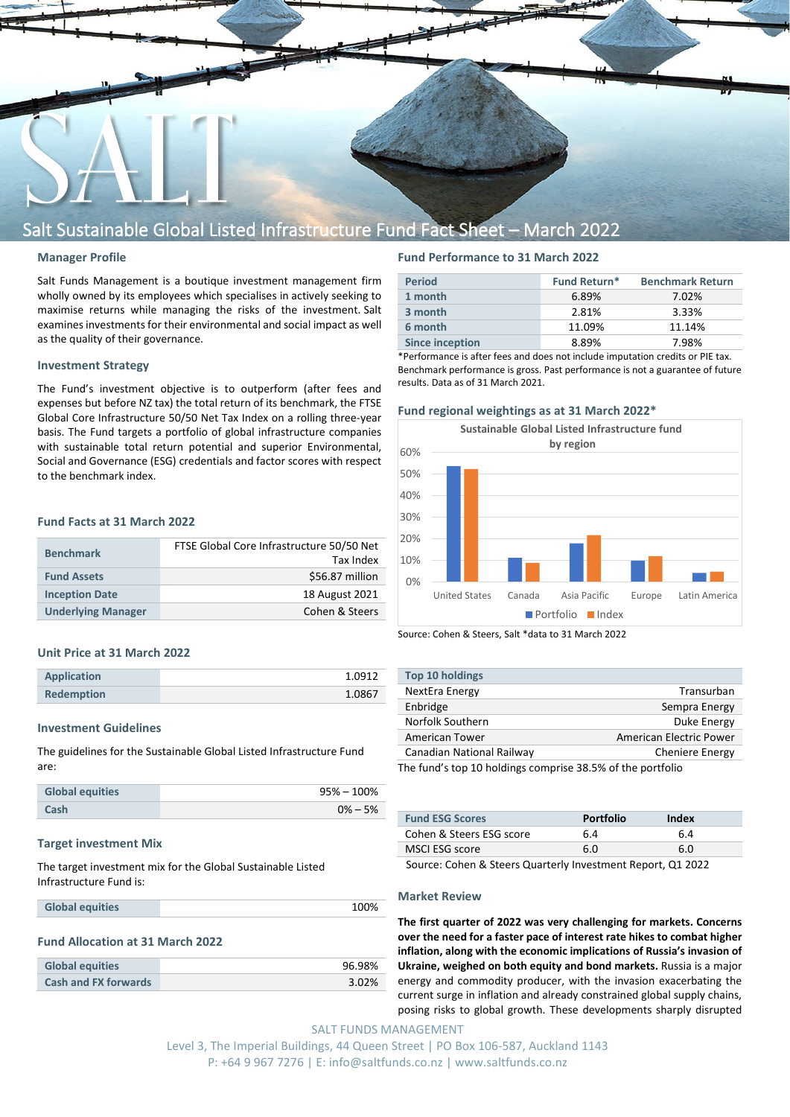

# Salt Sustainable Global Listed Infrastructure Fund Fact Sheet – March 2022

## **Manager Profile**

Salt Funds Management is a boutique investment management firm wholly owned by its employees which specialises in actively seeking to maximise returns while managing the risks of the investment. Salt examines investments for their environmental and social impact as well as the quality of their governance.

# **Investment Strategy**

The Fund's investment objective is to outperform (after fees and expenses but before NZ tax) the total return of its benchmark, the FTSE Global Core Infrastructure 50/50 Net Tax Index on a rolling three-year basis. The Fund targets a portfolio of global infrastructure companies with sustainable total return potential and superior Environmental, Social and Governance (ESG) credentials and factor scores with respect to the benchmark index.

# **Fund Facts at 31 March 2022**

| <b>Benchmark</b>          | FTSE Global Core Infrastructure 50/50 Net<br>Tax Index |
|---------------------------|--------------------------------------------------------|
| <b>Fund Assets</b>        | \$56.87 million                                        |
| <b>Inception Date</b>     | 18 August 2021                                         |
| <b>Underlying Manager</b> | Cohen & Steers                                         |

### **Unit Price at 31 March 2022**

| <b>Application</b> | 1.0912 |
|--------------------|--------|
| <b>Redemption</b>  | 1.0867 |

#### **Investment Guidelines**

The guidelines for the Sustainable Global Listed Infrastructure Fund are:

| <b>Global equities</b> | 95% – 100%  |
|------------------------|-------------|
| Cash                   | $0\% - 5\%$ |

#### **Target investment Mix**

The target investment mix for the Global Sustainable Listed Infrastructure Fund is:

**Global equities** 100%

## **Fund Allocation at 31 March 2022**

| <b>Global equities</b>      | 96.98% |
|-----------------------------|--------|
| <b>Cash and FX forwards</b> | 3.02%  |

# **Fund Performance to 31 March 2022**

| <b>Fund Return*</b><br><b>Benchmark Return</b><br><b>Period</b><br>1 month<br>7.02%<br>6.89%<br>2.81%<br>3 month<br>3.33%<br>6 month<br>11.09%<br>11.14%<br><b>Since inception</b><br>8.89%<br>7.98% |  |  |
|------------------------------------------------------------------------------------------------------------------------------------------------------------------------------------------------------|--|--|
|                                                                                                                                                                                                      |  |  |
|                                                                                                                                                                                                      |  |  |
|                                                                                                                                                                                                      |  |  |
|                                                                                                                                                                                                      |  |  |
|                                                                                                                                                                                                      |  |  |

\*Performance is after fees and does not include imputation credits or PIE tax. Benchmark performance is gross. Past performance is not a guarantee of future results. Data as of 31 March 2021.

#### **Fund regional weightings as at 31 March 2022\***



Source: Cohen & Steers, Salt \*data to 31 March 2022

| <b>Top 10 holdings</b>                                     |                         |
|------------------------------------------------------------|-------------------------|
| NextEra Energy                                             | Transurban              |
| Enbridge                                                   | Sempra Energy           |
| Norfolk Southern                                           | Duke Energy             |
| <b>American Tower</b>                                      | American Electric Power |
| Canadian National Railway                                  | <b>Cheniere Energy</b>  |
| The fund's tan 10 holdings compriso 20 FM of the nortfolio |                         |

The fund's top 10 holdings comprise 38.5% of the portfolio

| <b>Fund ESG Scores</b>   | <b>Portfolio</b> | Index |
|--------------------------|------------------|-------|
| Cohen & Steers ESG score | 6.4              | 6.4   |
| MSCI ESG score           | 6.0              | 6.0   |

Source: Cohen & Steers Quarterly Investment Report, Q1 2022

#### **Market Review**

**The first quarter of 2022 was very challenging for markets. Concerns over the need for a faster pace of interest rate hikes to combat higher inflation, along with the economic implications of Russia's invasion of Ukraine, weighed on both equity and bond markets.** Russia is a major energy and commodity producer, with the invasion exacerbating the current surge in inflation and already constrained global supply chains, posing risks to global growth. These developments sharply disrupted

SALT FUNDS MANAGEMENT Level 3, The Imperial Buildings, 44 Queen Street | PO Box 106-587, Auckland 1143 P: +64 9 967 7276 | E: info@saltfunds.co.nz | www.saltfunds.co.nz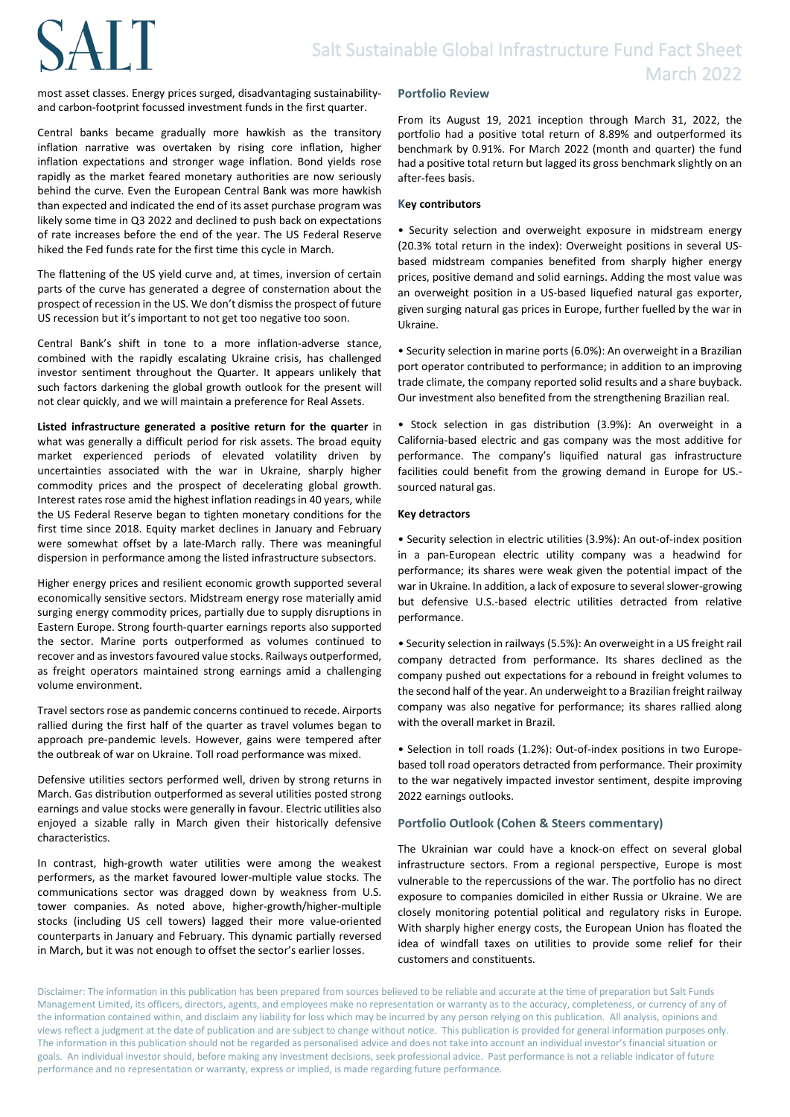# **SALT**

most asset classes. Energy prices surged, disadvantaging sustainabilityand carbon-footprint focussed investment funds in the first quarter.

Central banks became gradually more hawkish as the transitory inflation narrative was overtaken by rising core inflation, higher inflation expectations and stronger wage inflation. Bond yields rose rapidly as the market feared monetary authorities are now seriously behind the curve. Even the European Central Bank was more hawkish than expected and indicated the end of its asset purchase program was likely some time in Q3 2022 and declined to push back on expectations of rate increases before the end of the year. The US Federal Reserve hiked the Fed funds rate for the first time this cycle in March.

The flattening of the US yield curve and, at times, inversion of certain parts of the curve has generated a degree of consternation about the prospect of recession in the US. We don't dismiss the prospect of future US recession but it's important to not get too negative too soon.

Central Bank's shift in tone to a more inflation-adverse stance, combined with the rapidly escalating Ukraine crisis, has challenged investor sentiment throughout the Quarter. It appears unlikely that such factors darkening the global growth outlook for the present will not clear quickly, and we will maintain a preference for Real Assets.

**Listed infrastructure generated a positive return for the quarter** in what was generally a difficult period for risk assets. The broad equity market experienced periods of elevated volatility driven by uncertainties associated with the war in Ukraine, sharply higher commodity prices and the prospect of decelerating global growth. Interest rates rose amid the highest inflation readings in 40 years, while the US Federal Reserve began to tighten monetary conditions for the first time since 2018. Equity market declines in January and February were somewhat offset by a late-March rally. There was meaningful dispersion in performance among the listed infrastructure subsectors.

Higher energy prices and resilient economic growth supported several economically sensitive sectors. Midstream energy rose materially amid surging energy commodity prices, partially due to supply disruptions in Eastern Europe. Strong fourth-quarter earnings reports also supported the sector. Marine ports outperformed as volumes continued to recover and as investors favoured value stocks. Railways outperformed, as freight operators maintained strong earnings amid a challenging volume environment.

Travel sectors rose as pandemic concerns continued to recede. Airports rallied during the first half of the quarter as travel volumes began to approach pre-pandemic levels. However, gains were tempered after the outbreak of war on Ukraine. Toll road performance was mixed.

Defensive utilities sectors performed well, driven by strong returns in March. Gas distribution outperformed as several utilities posted strong earnings and value stocks were generally in favour. Electric utilities also enjoyed a sizable rally in March given their historically defensive characteristics.

In contrast, high-growth water utilities were among the weakest performers, as the market favoured lower-multiple value stocks. The communications sector was dragged down by weakness from U.S. tower companies. As noted above, higher-growth/higher-multiple stocks (including US cell towers) lagged their more value-oriented counterparts in January and February. This dynamic partially reversed in March, but it was not enough to offset the sector's earlier losses.

# **Portfolio Review**

From its August 19, 2021 inception through March 31, 2022, the portfolio had a positive total return of 8.89% and outperformed its benchmark by 0.91%. For March 2022 (month and quarter) the fund had a positive total return but lagged its gross benchmark slightly on an after-fees basis.

# **Key contributors**

• Security selection and overweight exposure in midstream energy (20.3% total return in the index): Overweight positions in several USbased midstream companies benefited from sharply higher energy prices, positive demand and solid earnings. Adding the most value was an overweight position in a US-based liquefied natural gas exporter, given surging natural gas prices in Europe, further fuelled by the war in Ukraine.

• Security selection in marine ports (6.0%): An overweight in a Brazilian port operator contributed to performance; in addition to an improving trade climate, the company reported solid results and a share buyback. Our investment also benefited from the strengthening Brazilian real.

• Stock selection in gas distribution (3.9%): An overweight in a California-based electric and gas company was the most additive for performance. The company's liquified natural gas infrastructure facilities could benefit from the growing demand in Europe for US. sourced natural gas.

# **Key detractors**

• Security selection in electric utilities (3.9%): An out-of-index position in a pan-European electric utility company was a headwind for performance; its shares were weak given the potential impact of the war in Ukraine. In addition, a lack of exposure to several slower-growing but defensive U.S.-based electric utilities detracted from relative performance.

• Security selection in railways (5.5%): An overweight in a US freight rail company detracted from performance. Its shares declined as the company pushed out expectations for a rebound in freight volumes to the second half of the year. An underweight to a Brazilian freight railway company was also negative for performance; its shares rallied along with the overall market in Brazil.

• Selection in toll roads (1.2%): Out-of-index positions in two Europebased toll road operators detracted from performance. Their proximity to the war negatively impacted investor sentiment, despite improving 2022 earnings outlooks.

# **Portfolio Outlook (Cohen & Steers commentary)**

The Ukrainian war could have a knock-on effect on several global infrastructure sectors. From a regional perspective, Europe is most vulnerable to the repercussions of the war. The portfolio has no direct exposure to companies domiciled in either Russia or Ukraine. We are closely monitoring potential political and regulatory risks in Europe. With sharply higher energy costs, the European Union has floated the idea of windfall taxes on utilities to provide some relief for their customers and constituents.

Disclaimer: The information in this publication has been prepared from sources believed to be reliable and accurate at the time of preparation but Salt Funds Management Limited, its officers, directors, agents, and employees make no representation or warranty as to the accuracy, completeness, or currency of any of the information contained within, and disclaim any liability for loss which may be incurred by any person relying on this publication. All analysis, opinions and views reflect a judgment at the date of publication and are subject to change without notice. This publication is provided for general information purposes only. The information in this publication should not be regarded as personalised advice and does not take into account an individual investor's financial situation or goals. An individual investor should, before making any investment decisions, seek professional advice. Past performance is not a reliable indicator of future performance and no representation or warranty, express or implied, is made regarding future performance.